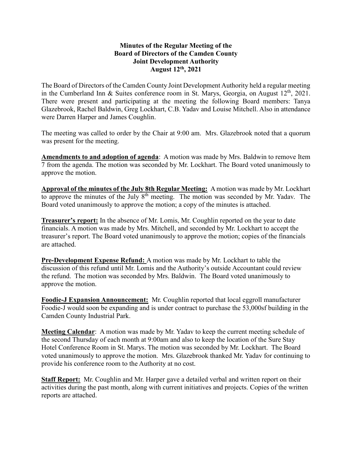## **Minutes of the Regular Meeting of the Board of Directors of the Camden County Joint Development Authority August 12th , 2021**

The Board of Directors of the Camden County Joint Development Authority held a regular meeting in the Cumberland Inn & Suites conference room in St. Marys, Georgia, on August  $12<sup>th</sup>$ , 2021. There were present and participating at the meeting the following Board members: Tanya Glazebrook, Rachel Baldwin, Greg Lockhart, C.B. Yadav and Louise Mitchell. Also in attendance were Darren Harper and James Coughlin.

The meeting was called to order by the Chair at 9:00 am. Mrs. Glazebrook noted that a quorum was present for the meeting.

**Amendments to and adoption of agenda**: A motion was made by Mrs. Baldwin to remove Item 7 from the agenda. The motion was seconded by Mr. Lockhart. The Board voted unanimously to approve the motion.

**Approval of the minutes of the July 8th Regular Meeting:** A motion was made by Mr. Lockhart to approve the minutes of the July 8<sup>th</sup> meeting. The motion was seconded by Mr. Yadav. The Board voted unanimously to approve the motion; a copy of the minutes is attached.

**Treasurer's report:** In the absence of Mr. Lomis, Mr. Coughlin reported on the year to date financials. A motion was made by Mrs. Mitchell, and seconded by Mr. Lockhart to accept the treasurer's report. The Board voted unanimously to approve the motion; copies of the financials are attached.

**Pre-Development Expense Refund:** A motion was made by Mr. Lockhart to table the discussion of this refund until Mr. Lomis and the Authority's outside Accountant could review the refund. The motion was seconded by Mrs. Baldwin. The Board voted unanimously to approve the motion.

**Foodie-J Expansion Announcement:** Mr. Coughlin reported that local eggroll manufacturer Foodie-J would soon be expanding and is under contract to purchase the 53,000sf building in the Camden County Industrial Park.

**Meeting Calendar**: A motion was made by Mr. Yadav to keep the current meeting schedule of the second Thursday of each month at 9:00am and also to keep the location of the Sure Stay Hotel Conference Room in St. Marys. The motion was seconded by Mr. Lockhart. The Board voted unanimously to approve the motion. Mrs. Glazebrook thanked Mr. Yadav for continuing to provide his conference room to the Authority at no cost.

**Staff Report:** Mr. Coughlin and Mr. Harper gave a detailed verbal and written report on their activities during the past month, along with current initiatives and projects. Copies of the written reports are attached.